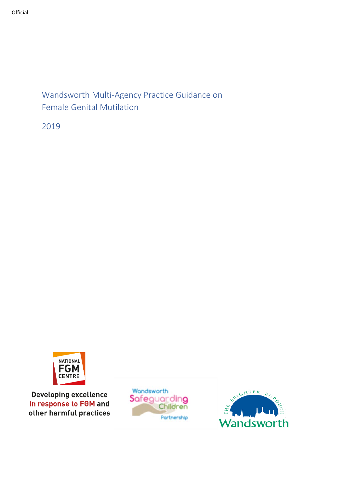# Wandsworth Multi-Agency Practice Guidance on Female Genital Mutilation

2019



**Developing excellence** in response to FGM and other harmful practices



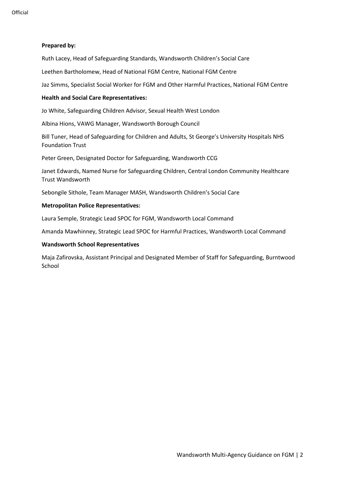### **Prepared by:**

Ruth Lacey, Head of Safeguarding Standards, Wandsworth Children's Social Care

Leethen Bartholomew, Head of National FGM Centre, National FGM Centre

Jaz Simms, Specialist Social Worker for FGM and Other Harmful Practices, National FGM Centre

#### **Health and Social Care Representatives:**

Jo White, Safeguarding Children Advisor, Sexual Health West London

Albina Hions, VAWG Manager, Wandsworth Borough Council

Bill Tuner, Head of Safeguarding for Children and Adults, St George's University Hospitals NHS Foundation Trust

Peter Green, Designated Doctor for Safeguarding, Wandsworth CCG

Janet Edwards, Named Nurse for Safeguarding Children, Central London Community Healthcare Trust Wandsworth

Sebongile Sithole, Team Manager MASH, Wandsworth Children's Social Care

#### **Metropolitan Police Representatives:**

Laura Semple, Strategic Lead SPOC for FGM, Wandsworth Local Command

Amanda Mawhinney, Strategic Lead SPOC for Harmful Practices, Wandsworth Local Command

#### **Wandsworth School Representatives**

Maja Zafirovska, Assistant Principal and Designated Member of Staff for Safeguarding, Burntwood School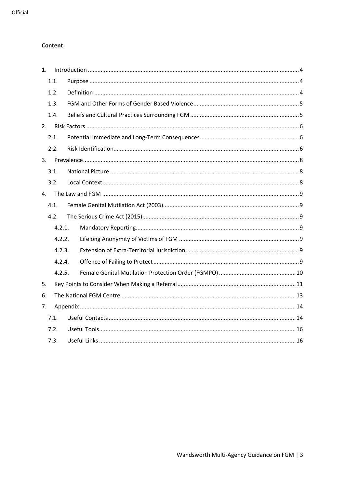### Content

| 1. |        |  |  |
|----|--------|--|--|
|    | 1.1.   |  |  |
|    | 1.2.   |  |  |
|    | 1.3.   |  |  |
|    | 1.4.   |  |  |
| 2. |        |  |  |
|    | 2.1.   |  |  |
|    | 2.2.   |  |  |
|    |        |  |  |
|    | 3.1.   |  |  |
|    | 3.2.   |  |  |
| 4. |        |  |  |
|    | 4.1.   |  |  |
|    | 4.2.   |  |  |
|    | 4.2.1. |  |  |
|    | 4.2.2. |  |  |
|    | 4.2.3. |  |  |
|    | 4.2.4. |  |  |
|    | 4.2.5. |  |  |
| 5. |        |  |  |
| 6. |        |  |  |
| 7. |        |  |  |
|    | 7.1.   |  |  |
|    | 7.2.   |  |  |
|    | 7.3.   |  |  |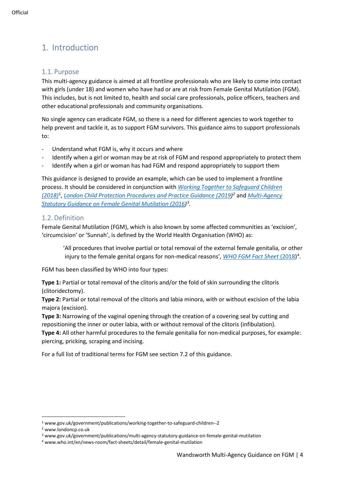# <span id="page-3-0"></span>1. Introduction

## <span id="page-3-1"></span>1.1. Purpose

This multi-agency guidance is aimed at all frontline professionals who are likely to come into contact with girls (under 18) and women who have had or are at risk from Female Genital Mutilation (FGM). This includes, but is not limited to, health and social care professionals, police officers, teachers and other educational professionals and community organisations.

No single agency can eradicate FGM, so there is a need for different agencies to work together to help prevent and tackle it, as to support FGM survivors. This guidance aims to support professionals to:

- Understand what FGM is, why it occurs and where
- Identify when a girl or woman may be at risk of FGM and respond appropriately to protect them
- Identify when a girl or woman has had FGM and respond appropriately to support them

This guidance is designed to provide an example, which can be used to implement a frontline process. It should be considered in conjunction with *[Working Together to Safeguard Children](https://www.gov.uk/government/publications/working-together-to-safeguard-children--2)  [\(2018\)](https://www.gov.uk/government/publications/working-together-to-safeguard-children--2)*[1](#page-3-3) , *[London Child Protection Procedures and Practice Guidance \(2019\)](https://www.londoncp.co.uk/index.html) [2](#page-3-4)* and *[Multi-Agency](https://www.gov.uk/government/publications/multi-agency-statutory-guidance-on-female-genital-mutilation)  [Statutory Guidance on Female Genital Mutilation](https://www.gov.uk/government/publications/multi-agency-statutory-guidance-on-female-genital-mutilation) (2016) [3](#page-3-5) .*

## <span id="page-3-2"></span>1.2. Definition

Female Genital Mutilation (FGM), which is also known by some affected communities as 'excision', 'circumcision' or 'Sunnah', is defined by the World Health Organisation (WHO) as:

'All procedures that involve partial or total removal of the external female genitalia, or other injury to the female genital organs for non-medical reasons', *WHO [FGM Fact Sheet](https://www.who.int/en/news-room/fact-sheets/detail/female-genital-mutilation)* (2018) [4](#page-3-6) .

FGM has been classified by WHO into four types:

**Type 1:** Partial or total removal of the clitoris and/or the fold of skin surrounding the clitoris (clitoridectomy).

**Type 2:** Partial or total removal of the clitoris and labia minora, with or without excision of the labia majora (excision).

**Type 3:** Narrowing of the vaginal opening through the creation of a covering seal by cutting and repositioning the inner or outer labia, with or without removal of the clitoris (infibulation).

**Type 4:** All other harmful procedures to the female genitalia for non-medical purposes, for example: piercing, pricking, scraping and incising.

For a full list of traditional terms for FGM see section 7.2 of this guidance.

<span id="page-3-3"></span><sup>1</sup> www.gov.uk/government/publications/working-together-to-safeguard-children--2

<span id="page-3-4"></span><sup>2</sup> www.londoncp.co.uk

<span id="page-3-5"></span><sup>3</sup> www.gov.uk/government/publications/multi-agency-statutory-guidance-on-female-genital-mutilation

<span id="page-3-6"></span><sup>4</sup> www.who.int/en/news-room/fact-sheets/detail/female-genital-mutilation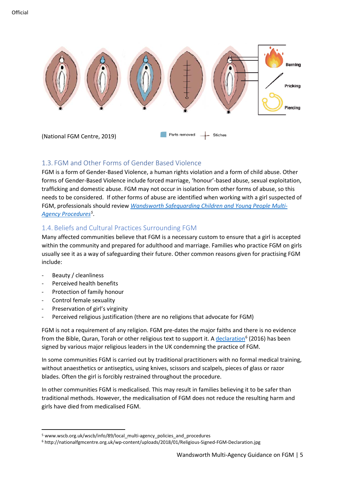

## <span id="page-4-0"></span>1.3. FGM and Other Forms of Gender Based Violence

FGM is a form of Gender-Based Violence, a human rights violation and a form of child abuse. Other forms of Gender-Based Violence include forced marriage, 'honour'-based abuse, sexual exploitation, trafficking and domestic abuse. FGM may not occur in isolation from other forms of abuse, so this needs to be considered. If other forms of abuse are identified when working with a girl suspected of FGM, professionals should review *[Wandsworth Safeguarding Children and Young People Multi-](http://www.wscb.org.uk/wscb/info/89/local_multi-agency_policies_and_procedures/)[Agency Procedures](http://www.wscb.org.uk/wscb/info/89/local_multi-agency_policies_and_procedures/)[5](#page-4-2)* .

# <span id="page-4-1"></span>1.4. Beliefs and Cultural Practices Surrounding FGM

Many affected communities believe that FGM is a necessary custom to ensure that a girl is accepted within the community and prepared for adulthood and marriage. Families who practice FGM on girls usually see it as a way of safeguarding their future. Other common reasons given for practising FGM include:

- Beauty / cleanliness
- Perceived health benefits
- Protection of family honour
- Control female sexuality
- Preservation of girl's virginity
- Perceived religious justification (there are no religions that advocate for FGM)

FGM is not a requirement of any religion. FGM pre-dates the major faiths and there is no evidence from the Bible, Quran, Torah or other religious text to support it. [A declaration](http://nationalfgmcentre.org.uk/wp-content/uploads/2018/01/Religious-Signed-FGM-Declaration.jpg)<sup>[6](#page-4-3)</sup> (2016) has been signed by various major religious leaders in the UK condemning the practice of FGM.

In some communities FGM is carried out by traditional practitioners with no formal medical training, without anaesthetics or antiseptics, using knives, scissors and scalpels, pieces of glass or razor blades. Often the girl is forcibly restrained throughout the procedure.

In other communities FGM is medicalised. This may result in families believing it to be safer than traditional methods. However, the medicalisation of FGM does not reduce the resulting harm and girls have died from medicalised FGM.

<span id="page-4-2"></span><sup>&</sup>lt;sup>5</sup> www.wscb.org.uk/wscb/info/89/local\_multi-agency\_policies\_and\_procedures

<span id="page-4-3"></span><sup>6</sup> http://nationalfgmcentre.org.uk/wp-content/uploads/2018/01/Religious-Signed-FGM-Declaration.jpg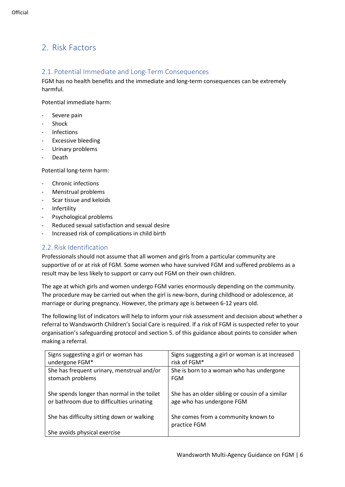# <span id="page-5-0"></span>2. Risk Factors

## <span id="page-5-1"></span>2.1. Potential Immediate and Long-Term Consequences

FGM has no health benefits and the immediate and long-term consequences can be extremely harmful.

Potential immediate harm:

- Severe pain
- **Shock**
- Infections
- Excessive bleeding
- Urinary problems
- **Death**

Potential long-term harm:

- Chronic infections
- Menstrual problems
- Scar tissue and keloids
- Infertility
- Psychological problems
- Reduced sexual satisfaction and sexual desire
- Increased risk of complications in child birth

## <span id="page-5-2"></span>2.2. Risk Identification

Professionals should not assume that all women and girls from a particular community are supportive of or at risk of FGM. Some women who have survived FGM and suffered problems as a result may be less likely to support or carry out FGM on their own children.

The age at which girls and women undergo FGM varies enormously depending on the community. The procedure may be carried out when the girl is new-born, during childhood or adolescence, at marriage or during pregnancy. However, the primary age is between 6-12 years old.

The following list of indicators will help to inform your risk assessment and decision about whether a referral to Wandsworth Children's Social Care is required. If a risk of FGM is suspected refer to your organisation's safeguarding protocol and section 5. of this guidance about points to consider when making a referral.

| Signs suggesting a girl or woman has<br>undergone FGM* | Signs suggesting a girl or woman is at increased<br>risk of FGM* |
|--------------------------------------------------------|------------------------------------------------------------------|
| She has frequent urinary, menstrual and/or             | She is born to a woman who has undergone                         |
| stomach problems                                       | <b>FGM</b>                                                       |
|                                                        |                                                                  |
| She spends longer than normal in the toilet            | She has an older sibling or cousin of a similar                  |
| or bathroom due to difficulties urinating              | age who has undergone FGM                                        |
|                                                        |                                                                  |
| She has difficulty sitting down or walking             | She comes from a community known to                              |
|                                                        | practice FGM                                                     |
| She avoids physical exercise                           |                                                                  |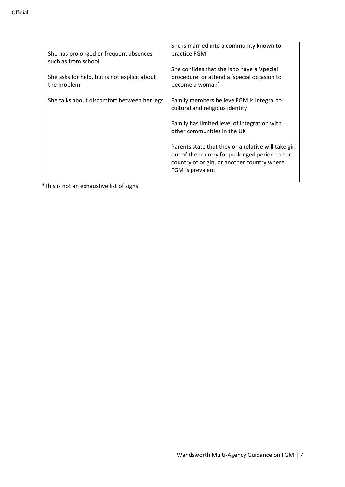| She has prolonged or frequent absences,<br>such as from school | She is married into a community known to<br>practice FGM                                                                                                                  |
|----------------------------------------------------------------|---------------------------------------------------------------------------------------------------------------------------------------------------------------------------|
| She asks for help, but is not explicit about<br>the problem    | She confides that she is to have a 'special<br>procedure' or attend a 'special occasion to<br>become a woman'                                                             |
| She talks about discomfort between her legs                    | Family members believe FGM is integral to<br>cultural and religious identity                                                                                              |
|                                                                | Family has limited level of integration with<br>other communities in the UK                                                                                               |
|                                                                | Parents state that they or a relative will take girl<br>out of the country for prolonged period to her<br>country of origin, or another country where<br>FGM is prevalent |
|                                                                |                                                                                                                                                                           |

\*This is not an exhaustive list of signs.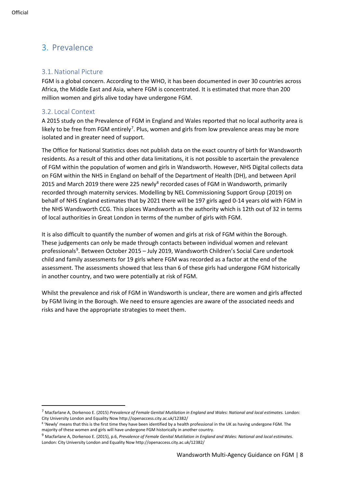# <span id="page-7-0"></span>3. Prevalence

# <span id="page-7-1"></span>3.1. National Picture

FGM is a global concern. According to the WHO, it has been documented in over 30 countries across Africa, the Middle East and Asia, where FGM is concentrated. It is estimated that more than 200 million women and girls alive today have undergone FGM.

# <span id="page-7-2"></span>3.2. Local Context

A 2015 study on the Prevalence of FGM in England and Wales reported that no local authority area is likely to be free from FGM entirely<sup>[7](#page-7-3)</sup>. Plus, women and girls from low prevalence areas may be more isolated and in greater need of support.

The Office for National Statistics does not publish data on the exact country of birth for Wandsworth residents. As a result of this and other data limitations, it is not possible to ascertain the prevalence of FGM within the population of women and girls in Wandsworth. However, NHS Digital collects data on FGM within the NHS in England on behalf of the Department of Health (DH), and between April 2015 and March 2019 there were 225 newly<sup>8</sup> recorded cases of FGM in Wandsworth, primarily recorded through maternity services. Modelling by NEL Commissioning Support Group (2019) on behalf of NHS England estimates that by 2021 there will be 197 girls aged 0-14 years old with FGM in the NHS Wandsworth CCG. This places Wandsworth as the authority which is 12th out of 32 in terms of local authorities in Great London in terms of the number of girls with FGM.

It is also difficult to quantify the number of women and girls at risk of FGM within the Borough. These judgements can only be made through contacts between individual women and relevant professionals<sup>[9](#page-7-5)</sup>. Between October 2015 - July 2019, Wandsworth Children's Social Care undertook child and family assessments for 19 girls where FGM was recorded as a factor at the end of the assessment. The assessments showed that less than 6 of these girls had undergone FGM historically in another country, and two were potentially at risk of FGM.

Whilst the prevalence and risk of FGM in Wandsworth is unclear, there are women and girls affected by FGM living in the Borough. We need to ensure agencies are aware of the associated needs and risks and have the appropriate strategies to meet them.

<span id="page-7-3"></span><sup>7</sup> Macfarlane A, Dorkenoo E. (2015) *Prevalence of Female Genital Mutilation in England and Wales: National and local estimates.* London: City University London and Equality Now http://openaccess.city.ac.uk/12382/

<span id="page-7-4"></span><sup>8 &#</sup>x27;Newly' means that this is the first time they have been identified by a health professional in the UK as having undergone FGM. The majority of these women and girls will have undergone FGM historically in another country.

<span id="page-7-5"></span><sup>9</sup> Macfarlane A, Dorkenoo E. (2015), p.6, *Prevalence of Female Genital Mutilation in England and Wales: National and local estimates.*  London: City University London and Equality Now http://openaccess.city.ac.uk/12382/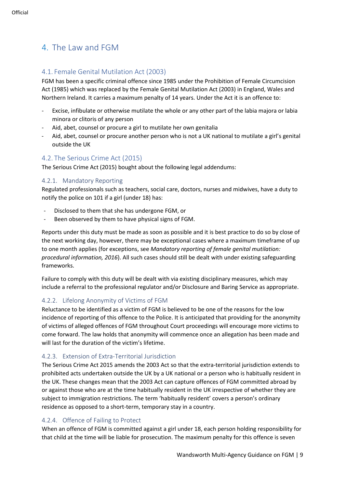# <span id="page-8-1"></span><span id="page-8-0"></span>4.1. Female Genital Mutilation Act (2003)

FGM has been a specific criminal offence since 1985 under the Prohibition of Female Circumcision Act (1985) which was replaced by the Female Genital Mutilation Act (2003) in England, Wales and Northern Ireland. It carries a maximum penalty of 14 years. Under the Act it is an offence to:

- Excise, infibulate or otherwise mutilate the whole or any other part of the labia majora or labia minora or clitoris of any person
- Aid, abet, counsel or procure a girl to mutilate her own genitalia
- Aid, abet, counsel or procure another person who is not a UK national to mutilate a girl's genital outside the UK

# <span id="page-8-2"></span>4.2. The Serious Crime Act (2015)

The Serious Crime Act (2015) bought about the following legal addendums:

# <span id="page-8-3"></span>4.2.1. Mandatory Reporting

Regulated professionals such as teachers, social care, doctors, nurses and midwives, have a duty to notify the police on 101 if a girl (under 18) has:

- Disclosed to them that she has undergone FGM, or
- Been observed by them to have physical signs of FGM.

Reports under this duty must be made as soon as possible and it is best practice to do so by close of the next working day, however, there may be exceptional cases where a maximum timeframe of up to one month applies (for exceptions, see *Mandatory reporting of female genital mutilation: procedural information, 2016*). All such cases should still be dealt with under existing safeguarding frameworks.

Failure to comply with this duty will be dealt with via existing disciplinary measures, which may include a referral to the professional regulator and/or Disclosure and Baring Service as appropriate.

# <span id="page-8-4"></span>4.2.2. Lifelong Anonymity of Victims of FGM

Reluctance to be identified as a victim of FGM is believed to be one of the reasons for the low incidence of reporting of this offence to the Police. It is anticipated that providing for the anonymity of victims of alleged offences of FGM throughout Court proceedings will encourage more victims to come forward. The law holds that anonymity will commence once an allegation has been made and will last for the duration of the victim's lifetime.

# <span id="page-8-5"></span>4.2.3. Extension of Extra-Territorial Jurisdiction

The Serious Crime Act 2015 amends the 2003 Act so that the extra-territorial jurisdiction extends to prohibited acts undertaken outside the UK by a UK national or a person who is habitually resident in the UK. These changes mean that the 2003 Act can capture offences of FGM committed abroad by or against those who are at the time habitually resident in the UK irrespective of whether they are subject to immigration restrictions. The term 'habitually resident' covers a person's ordinary residence as opposed to a short-term, temporary stay in a country.

# <span id="page-8-6"></span>4.2.4. Offence of Failing to Protect

When an offence of FGM is committed against a girl under 18, each person holding responsibility for that child at the time will be liable for prosecution. The maximum penalty for this offence is seven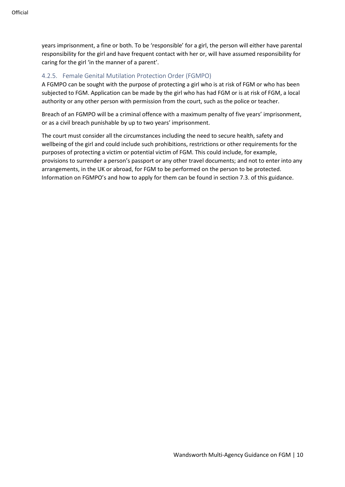years imprisonment, a fine or both. To be 'responsible' for a girl, the person will either have parental responsibility for the girl and have frequent contact with her or, will have assumed responsibility for caring for the girl 'in the manner of a parent'.

## <span id="page-9-0"></span>4.2.5. Female Genital Mutilation Protection Order (FGMPO)

A FGMPO can be sought with the purpose of protecting a girl who is at risk of FGM or who has been subjected to FGM. Application can be made by the girl who has had FGM or is at risk of FGM, a local authority or any other person with permission from the court, such as the police or teacher.

Breach of an FGMPO will be a criminal offence with a maximum penalty of five years' imprisonment, or as a civil breach punishable by up to two years' imprisonment.

The court must consider all the circumstances including the need to secure health, safety and wellbeing of the girl and could include such prohibitions, restrictions or other requirements for the purposes of protecting a victim or potential victim of FGM. This could include, for example, provisions to surrender a person's passport or any other travel documents; and not to enter into any arrangements, in the UK or abroad, for FGM to be performed on the person to be protected. Information on FGMPO's and how to apply for them can be found in section 7.3. of this guidance.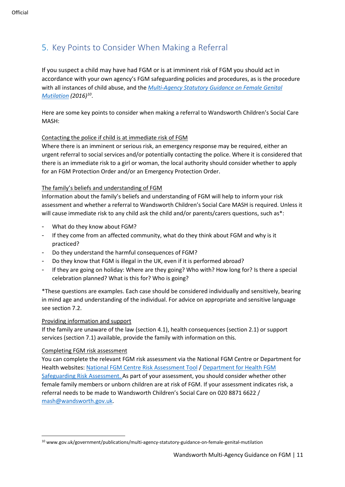# <span id="page-10-0"></span>5. Key Points to Consider When Making a Referral

If you suspect a child may have had FGM or is at imminent risk of FGM you should act in accordance with your own agency's FGM safeguarding policies and procedures, as is the procedure with all instances of child abuse, and the *[Multi-Agency Statutory Guidance on Female Genital](https://www.gov.uk/government/publications/multi-agency-statutory-guidance-on-female-genital-mutilation)  [Mutilation](https://www.gov.uk/government/publications/multi-agency-statutory-guidance-on-female-genital-mutilation) (2016)[10](#page-10-1)*.

Here are some key points to consider when making a referral to Wandsworth Children's Social Care MASH:

#### Contacting the police if child is at immediate risk of FGM

Where there is an imminent or serious risk, an emergency response may be required, either an urgent referral to social services and/or potentially contacting the police. Where it is considered that there is an immediate risk to a girl or woman, the local authority should consider whether to apply for an FGM Protection Order and/or an Emergency Protection Order.

#### The family's beliefs and understanding of FGM

Information about the family's beliefs and understanding of FGM will help to inform your risk assessment and whether a referral to Wandsworth Children's Social Care MASH is required. Unless it will cause immediate risk to any child ask the child and/or parents/carers questions, such as\*:

- What do they know about FGM?
- If they come from an affected community, what do they think about FGM and why is it practiced?
- Do they understand the harmful consequences of FGM?
- Do they know that FGM is illegal in the UK, even if it is performed abroad?
- If they are going on holiday: Where are they going? Who with? How long for? Is there a special celebration planned? What is this for? Who is going?

\*These questions are examples. Each case should be considered individually and sensitively, bearing in mind age and understanding of the individual. For advice on appropriate and sensitive language see section 7.2.

#### Providing information and support

If the family are unaware of the law (section 4.1), health consequences (section 2.1) or support services (section 7.1) available, provide the family with information on this.

#### Completing FGM risk assessment

You can complete the relevant FGM risk assessment via the National FGM Centre or Department for Health websites: [National FGM Centre Risk Assessment Tool](http://nationalfgmcentre.org.uk/fgm-assessment-tool/) / [Department for Health FGM](https://assets.publishing.service.gov.uk/government/uploads/system/uploads/attachment_data/file/525390/FGM_safeguarding_report_A.pdf)  [Safeguarding Risk Assessment.](https://assets.publishing.service.gov.uk/government/uploads/system/uploads/attachment_data/file/525390/FGM_safeguarding_report_A.pdf) As part of your assessment, you should consider whether other female family members or unborn children are at risk of FGM. If your assessment indicates risk, a referral needs to be made to Wandsworth Children's Social Care on 020 8871 6622 / [mash@wandsworth.gov.uk.](mailto:mash@wandsworth.gov.uk)

<span id="page-10-1"></span><sup>10</sup> www.gov.uk/government/publications/multi-agency-statutory-guidance-on-female-genital-mutilation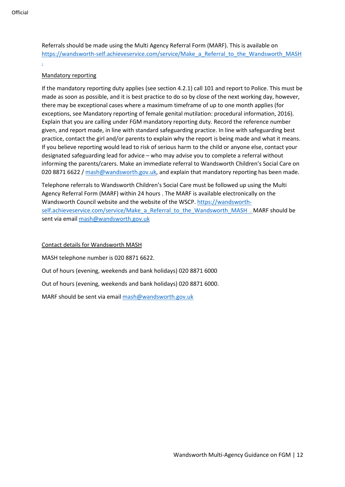Referrals should be made using the Multi Agency Referral Form (MARF). This is available on https://wandsworth-self.achieveservice.com/service/Make\_a\_Referral\_to\_the\_Wandsworth\_MASH

#### Mandatory reporting

.

If the mandatory reporting duty applies (see section 4.2.1) call 101 and report to Police. This must be made as soon as possible, and it is best practice to do so by close of the next working day, however, there may be exceptional cases where a maximum timeframe of up to one month applies (for exceptions, see Mandatory reporting of female genital mutilation: procedural information, 2016). Explain that you are calling under FGM mandatory reporting duty. Record the reference number given, and report made, in line with standard safeguarding practice. In line with safeguarding best practice, contact the girl and/or parents to explain why the report is being made and what it means. If you believe reporting would lead to risk of serious harm to the child or anyone else, contact your designated safeguarding lead for advice – who may advise you to complete a referral without informing the parents/carers. Make an immediate referral to Wandsworth Children's Social Care on 020 8871 6622 [/ mash@wandsworth.gov.uk,](mailto:mash@wandsworth.gov.uk) and explain that mandatory reporting has been made.

Telephone referrals to Wandsworth Children's Social Care must be followed up using the Multi Agency Referral Form (MARF) within 24 hours . The MARF is available electronically on the Wandsworth Council website and the website of the WSCP[. https://wandsworth](https://wandsworth-self.achieveservice.com/service/Make_a_Referral_to_the_Wandsworth_MASH)[self.achieveservice.com/service/Make\\_a\\_Referral\\_to\\_the\\_Wandsworth\\_MASH](https://wandsworth-self.achieveservice.com/service/Make_a_Referral_to_the_Wandsworth_MASH) . MARF should be sent via email [mash@wandsworth.gov.uk](mailto:mash@wandsworth.gov.uk)

#### Contact details for Wandsworth MASH

MASH telephone number is 020 8871 6622.

Out of hours (evening, weekends and bank holidays) 020 8871 6000

Out of hours (evening, weekends and bank holidays) 020 8871 6000.

MARF should be sent via emai[l mash@wandsworth.gov.uk](mailto:mash@wandsworth.gov.uk)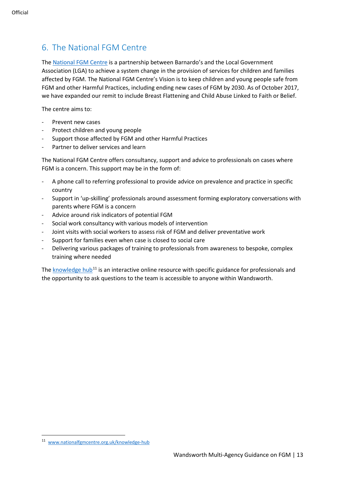# <span id="page-12-0"></span>6. The National FGM Centre

The [National FGM Centre](http://nationalfgmcentre.org.uk/) is a partnership between Barnardo's and the Local Government Association (LGA) to achieve a system change in the provision of services for children and families affected by FGM. The National FGM Centre's Vision is to keep children and young people safe from FGM and other Harmful Practices, including ending new cases of FGM by 2030. As of October 2017, we have expanded our remit to include Breast Flattening and Child Abuse Linked to Faith or Belief.

The centre aims to:

- Prevent new cases
- Protect children and young people
- Support those affected by FGM and other Harmful Practices
- Partner to deliver services and learn

The National FGM Centre offers consultancy, support and advice to professionals on cases where FGM is a concern. This support may be in the form of:

- A phone call to referring professional to provide advice on prevalence and practice in specific country
- Support in 'up-skilling' professionals around assessment forming exploratory conversations with parents where FGM is a concern
- Advice around risk indicators of potential FGM
- Social work consultancy with various models of intervention
- Joint visits with social workers to assess risk of FGM and deliver preventative work
- Support for families even when case is closed to social care
- Delivering various packages of training to professionals from awareness to bespoke, complex training where needed

The [knowledge hub](http://www.nationalfgmcentre.org.uk/knowledge-hub)<sup>[11](#page-12-1)</sup> is an interactive online resource with specific guidance for professionals and the opportunity to ask questions to the team is accessible to anyone within Wandsworth.

<span id="page-12-1"></span><sup>11</sup> [www.nationalfgmcentre.org.uk/knowledge-hub](http://www.nationalfgmcentre.org.uk/knowledge-hub)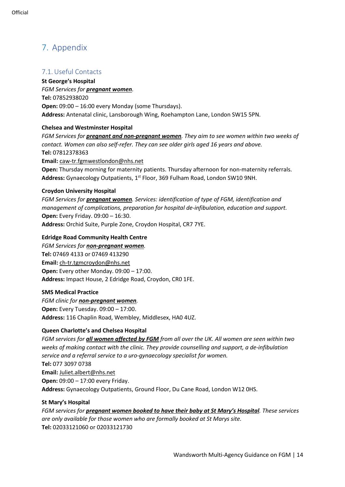# <span id="page-13-0"></span>7. Appendix

# <span id="page-13-1"></span>7.1. Useful Contacts

**St George's Hospital**  *FGM Services for pregnant women.* **Tel:** 07852938020 **Open:** 09:00 – 16:00 every Monday (some Thursdays). **Address:** Antenatal clinic, Lansborough Wing, Roehampton Lane, London SW15 5PN.

### **Chelsea and Westminster Hospital**

*FGM Services for pregnant and non-pregnant women. They aim to see women within two weeks of contact. Women can also self-refer. They can see older girls aged 16 years and above.* **Tel:** 07812378363 **Email:** [caw-tr.fgmwestlondon@nhs.net](mailto:caw-tr.fgmwestlondon@nhs.net) **Open:** Thursday morning for maternity patients. Thursday afternoon for non-maternity referrals. Address: Gynaecology Outpatients, 1<sup>st</sup> Floor, 369 Fulham Road, London SW10 9NH.

### **Croydon University Hospital**

*FGM Services for pregnant women. Services: identification of type of FGM, identification and management of complications, preparation for hospital de-infibulation, education and support.*  **Open:** Every Friday. 09:00 – 16:30. **Address:** Orchid Suite, Purple Zone, Croydon Hospital, CR7 7YE.

### **Edridge Road Community Health Centre**

*FGM Services for non-pregnant women.*  **Tel:** 07469 4133 or 07469 413290 **Email:** [ch-tr.tgmcroydon@nhs.net](mailto:ch-tr.tgmcroydon@nhs.net) **Open:** Every other Monday. 09:00 – 17:00. **Address:** Impact House, 2 Edridge Road, Croydon, CR0 1FE.

### **SMS Medical Practice**

*FGM clinic for non-pregnant women.*  **Open:** Every Tuesday. 09:00 – 17:00. **Address:** 116 Chaplin Road, Wembley, Middlesex, HA0 4UZ.

### **Queen Charlotte's and Chelsea Hospital**

*FGM services for all women affected by FGM from all over the UK. All women are seen within two weeks of making contact with the clinic. They provide counselling and support, a de-infibulation service and a referral service to a uro-gynaecology specialist for women.* **Tel:** 077 3097 0738 **Email:** [Juliet.albert@nhs.net](mailto:Juliet.albert@nhs.net) **Open:** 09:00 – 17:00 every Friday. **Address:** Gynaecology Outpatients, Ground Floor, Du Cane Road, London W12 0HS.

### **St Mary's Hospital**

*FGM services for pregnant women booked to have their baby at St Mary's Hospital. These services are only available for those women who are formally booked at St Marys site.* **Tel:** 02033121060 or 02033121730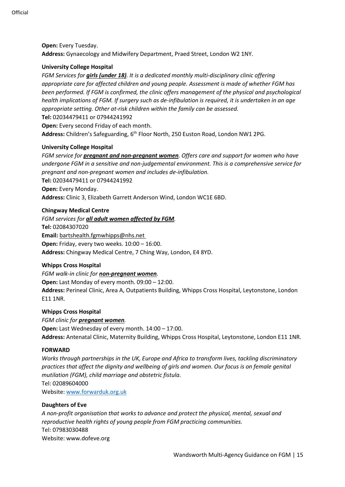**Open:** Every Tuesday. **Address:** Gynaecology and Midwifery Department, Praed Street, London W2 1NY.

#### **University College Hospital**

*FGM Services for girls (under 18). It is a dedicated monthly multi-disciplinary clinic offering appropriate care for affected children and young people. Assessment is made of whether FGM has been performed. If FGM is confirmed, the clinic offers management of the physical and psychological health implications of FGM. If surgery such as de-infibulation is required, it is undertaken in an age appropriate setting. Other at-risk children within the family can be assessed.* **Tel:** 02034479411 or 07944241992

**Open:** Every second Friday of each month. **Address:** Children's Safeguarding, 6th Floor North, 250 Euston Road, London NW1 2PG.

#### **University College Hospital**

*FGM service for pregnant and non-pregnant women. Offers care and support for women who have undergone FGM in a sensitive and non-judgemental environment. This is a comprehensive service for pregnant and non-pregnant women and includes de-infibulation.* **Tel:** 02034479411 or 07944241992 **Open:** Every Monday. **Address:** Clinic 3, Elizabeth Garrett Anderson Wind, London WC1E 6BD.

#### **Chingway Medical Centre**

*FGM services for all adult women affected by FGM.*  **Tel:** 02084307020 **Email:** [bartshealth.fgmwhipps@nhs.net](mailto:bartshealth.fgmwhipps@nhs.net) **Open:** Friday, every two weeks. 10:00 – 16:00. **Address:** Chingway Medical Centre, 7 Ching Way, London, E4 8YD.

#### **Whipps Cross Hospital**

*FGM walk-in clinic for non-pregnant women.* 

**Open:** Last Monday of every month. 09:00 – 12:00.

**Address:** Perineal Clinic, Area A, Outpatients Building, Whipps Cross Hospital, Leytonstone, London E11 1NR.

#### **Whipps Cross Hospital**

*FGM clinic for pregnant women.*  **Open:** Last Wednesday of every month. 14:00 – 17:00. **Address:** Antenatal Clinic, Maternity Building, Whipps Cross Hospital, Leytonstone, London E11 1NR.

#### **FORWARD**

*Works through partnerships in the UK, Europe and Africa to transform lives, tackling discriminatory practices that affect the dignity and wellbeing of girls and women. Our focus is on female genital mutilation (FGM), child marriage and obstetric fistula.* Tel: 02089604000 Website[: www.forwarduk.org.uk](http://www.forwarduk.org.uk/)

#### **Daughters of Eve**

*A non-profit organisation that works to advance and protect the physical, mental, sexual and reproductive health rights of young people from FGM practicing communities.* Tel: 07983030488 Website[: www.dofeve.org](http://www.dofeve.org/)